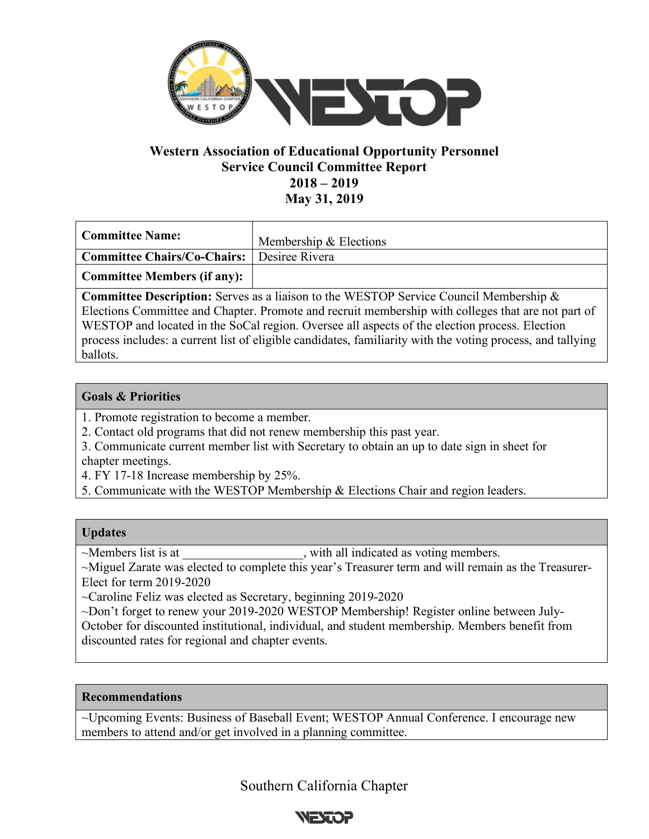

# **Western Association of Educational Opportunity Personnel Service Council Committee Report 2018 – 2019 May 31, 2019**

| <b>Committee Name:</b>                                                                          | Membership & Elections |
|-------------------------------------------------------------------------------------------------|------------------------|
| Committee Chairs/Co-Chairs:   Desiree Rivera                                                    |                        |
| <b>Committee Members (if any):</b>                                                              |                        |
| <b>Committee Description:</b> Serves as a liaison to the WESTOP Service Council Membership $\&$ |                        |

Elections Committee and Chapter. Promote and recruit membership with colleges that are not part of WESTOP and located in the SoCal region. Oversee all aspects of the election process. Election process includes: a current list of eligible candidates, familiarity with the voting process, and tallying ballots.

### **Goals & Priorities**

- 1. Promote registration to become a member.
- 2. Contact old programs that did not renew membership this past year.
- 3. Communicate current member list with Secretary to obtain an up to date sign in sheet for chapter meetings.
- 4. FY 17-18 Increase membership by 25%.
- 5. Communicate with the WESTOP Membership & Elections Chair and region leaders.

### **Updates**

~Members list is at \_\_\_\_\_\_\_\_\_\_\_\_\_\_\_\_\_, with all indicated as voting members.

~Miguel Zarate was elected to complete this year's Treasurer term and will remain as the Treasurer-Elect for term 2019-2020

~Caroline Feliz was elected as Secretary, beginning 2019-2020

~Don't forget to renew your 2019-2020 WESTOP Membership! Register online between July-October for discounted institutional, individual, and student membership. Members benefit from discounted rates for regional and chapter events.

### **Recommendations**

~Upcoming Events: Business of Baseball Event; WESTOP Annual Conference. I encourage new members to attend and/or get involved in a planning committee.

Southern California Chapter